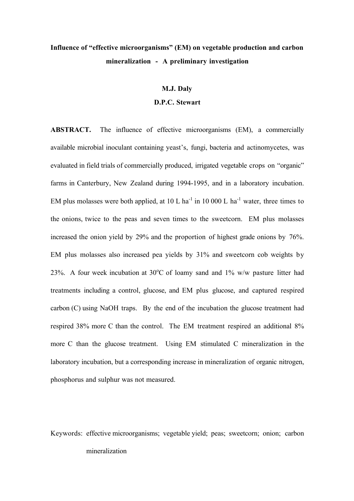# **Influence of "effective microorganisms" (EM) on vegetable production and carbon mineralization - A preliminary investigation**

#### **M.J. Daly**

## **D.P.C. Stewart**

**ABSTRACT.** The influence of effective microorganisms (EM), a commercially available microbial inoculant containing yeast's, fungi, bacteria and actinomycetes, was evaluated in field trials of commercially produced, irrigated vegetable crops on "organic" farms in Canterbury, New Zealand during 1994-1995, and in a laboratory incubation. EM plus molasses were both applied, at  $10 \text{ L}$  ha<sup>-1</sup> in  $10\,000 \text{ L}$  ha<sup>-1</sup> water, three times to the onions, twice to the peas and seven times to the sweetcorn. EM plus molasses increased the onion yield by 29% and the proportion of highest grade onions by 76%. EM plus molasses also increased pea yields by 31% and sweetcorn cob weights by 23%. A four week incubation at 30 $^{\circ}$ C of loamy sand and 1% w/w pasture litter had treatments including a control, glucose, and EM plus glucose, and captured respired carbon (C) using NaOH traps. By the end of the incubation the glucose treatment had respired 38% more C than the control. The EM treatment respired an additional 8% more C than the glucose treatment. Using EM stimulated C mineralization in the laboratory incubation, but a corresponding increase in mineralization of organic nitrogen, phosphorus and sulphur was not measured.

Keywords: effective microorganisms; vegetable yield; peas; sweetcorn; onion; carbon mineralization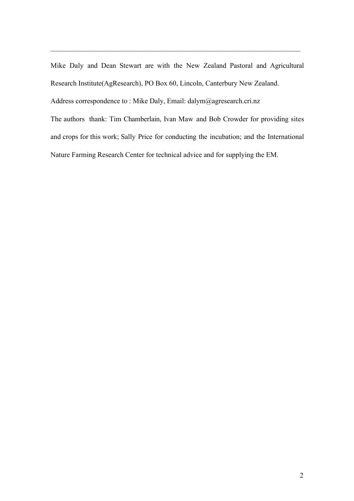Mike Daly and Dean Stewart are with the New Zealand Pastoral and Agricultural Research Institute(AgResearch), PO Box 60, Lincoln, Canterbury New Zealand. Address correspondence to : Mike Daly, Email: dalym@agresearch.cri.nz

 $\_$  , and the set of the set of the set of the set of the set of the set of the set of the set of the set of the set of the set of the set of the set of the set of the set of the set of the set of the set of the set of th

The authors thank: Tim Chamberlain, Ivan Maw and Bob Crowder for providing sites and crops for this work; Sally Price for conducting the incubation; and the International Nature Farming Research Center for technical advice and for supplying the EM.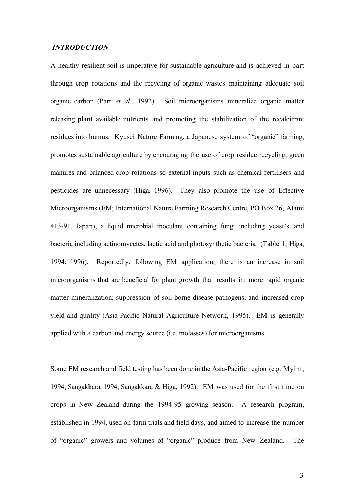#### *INTRODUCTION*

A healthy resilient soil is imperative for sustainable agriculture and is achieved in part through crop rotations and the recycling of organic wastes maintaining adequate soil organic carbon (Parr *et al*., 1992). Soil microorganisms mineralize organic matter releasing plant available nutrients and promoting the stabilization of the recalcitrant residues into humus. Kyusei Nature Farming, a Japanese system of "organic" farming, promotes sustainable agriculture by encouraging the use of crop residue recycling, green manures and balanced crop rotations so external inputs such as chemical fertilisers and pesticides are unnecessary (Higa, 1996). They also promote the use of Effective Microorganisms (EM; International Nature Farming Research Centre, PO Box 26, Atami 413-91, Japan), a liquid microbial inoculant containing fungi including yeast's and bacteria including actinomycetes, lactic acid and photosynthetic bacteria (Table 1; Higa, 1994; 1996). Reportedly, following EM application, there is an increase in soil microorganisms that are beneficial for plant growth that results in: more rapid organic matter mineralization; suppression of soil borne disease pathogens; and increased crop yield and quality (Asia-Pacific Natural Agriculture Network, 1995). EM is generally applied with a carbon and energy source (i.e. molasses) for microorganisms.

Some EM research and field testing has been done in the Asia-Pacific region (e.g. Myint, 1994; Sangakkara, 1994; Sangakkara & Higa, 1992). EM was used for the first time on crops in New Zealand during the 1994-95 growing season. A research program, established in 1994, used on-farm trials and field days, and aimed to increase the number of "organic" growers and volumes of "organic" produce from New Zealand. The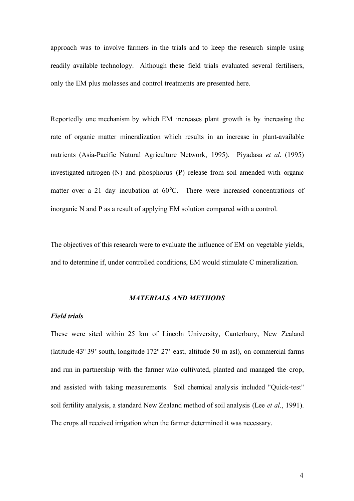approach was to involve farmers in the trials and to keep the research simple using readily available technology. Although these field trials evaluated several fertilisers, only the EM plus molasses and control treatments are presented here.

Reportedly one mechanism by which EM increases plant growth is by increasing the rate of organic matter mineralization which results in an increase in plant-available nutrients (Asia-Pacific Natural Agriculture Network, 1995). Piyadasa *et al*. (1995) investigated nitrogen (N) and phosphorus (P) release from soil amended with organic matter over a 21 day incubation at 60°C. There were increased concentrations of inorganic N and P as a result of applying EM solution compared with a control.

The objectives of this research were to evaluate the influence of EM on vegetable yields, and to determine if, under controlled conditions, EM would stimulate C mineralization.

#### *MATERIALS AND METHODS*

# *Field trials*

These were sited within 25 km of Lincoln University, Canterbury, New Zealand (latitude  $43^{\circ}$  39' south, longitude  $172^{\circ}$  27' east, altitude 50 m asl), on commercial farms and run in partnership with the farmer who cultivated, planted and managed the crop, and assisted with taking measurements. Soil chemical analysis included "Quick-test" soil fertility analysis, a standard New Zealand method of soil analysis (Lee *et al*., 1991). The crops all received irrigation when the farmer determined it was necessary.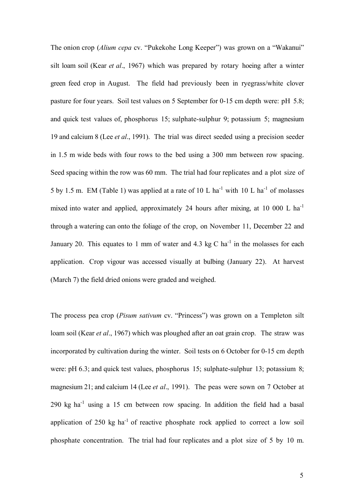The onion crop *(Alium cepa cv.* "Pukekohe Long Keeper") was grown on a "Wakanui" silt loam soil (Kear *et al*., 1967) which was prepared by rotary hoeing after a winter green feed crop in August. The field had previously been in ryegrass/white clover pasture for four years. Soil test values on 5 September for 0-15 cm depth were: pH 5.8; and quick test values of, phosphorus 15; sulphate-sulphur 9; potassium 5; magnesium 19 and calcium 8 (Lee *et al*., 1991). The trial was direct seeded using a precision seeder in 1.5 m wide beds with four rows to the bed using a 300 mm between row spacing. Seed spacing within the row was 60 mm. The trial had four replicates and a plot size of 5 by 1.5 m. EM (Table 1) was applied at a rate of 10 L ha<sup>-1</sup> with 10 L ha<sup>-1</sup> of molasses mixed into water and applied, approximately 24 hours after mixing, at 10 000 L ha<sup>-1</sup> through a watering can onto the foliage of the crop, on November 11, December 22 and January 20. This equates to 1 mm of water and 4.3 kg C ha<sup>-1</sup> in the molasses for each application. Crop vigour was accessed visually at bulbing (January 22). At harvest (March 7) the field dried onions were graded and weighed.

The process pea crop (*Pisum sativum* cv. "Princess") was grown on a Templeton silt loam soil (Kear *et al*., 1967) which was ploughed after an oat grain crop. The straw was incorporated by cultivation during the winter. Soil tests on 6 October for 0-15 cm depth were: pH 6.3; and quick test values, phosphorus 15; sulphate-sulphur 13; potassium 8; magnesium 21; and calcium 14 (Lee *et al*., 1991). The peas were sown on 7 October at 290 kg ha<sup>-1</sup> using a 15 cm between row spacing. In addition the field had a basal application of 250 kg ha<sup>-1</sup> of reactive phosphate rock applied to correct a low soil phosphate concentration. The trial had four replicates and a plot size of 5 by 10 m.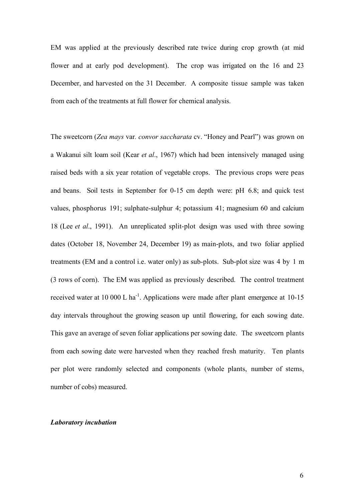EM was applied at the previously described rate twice during crop growth (at mid flower and at early pod development). The crop was irrigated on the 16 and 23 December, and harvested on the 31 December. A composite tissue sample was taken from each of the treatments at full flower for chemical analysis.

The sweetcorn (*Zea mays var. convor saccharata* cv. "Honey and Pearl") was grown on a Wakanui silt loam soil (Kear *et al*., 1967) which had been intensively managed using raised beds with a six year rotation of vegetable crops. The previous crops were peas and beans. Soil tests in September for 0-15 cm depth were: pH 6.8; and quick test values, phosphorus 191; sulphate-sulphur 4; potassium 41; magnesium 60 and calcium 18 (Lee *et al*., 1991). An unreplicated split-plot design was used with three sowing dates (October 18, November 24, December 19) as main-plots, and two foliar applied treatments (EM and a control i.e. water only) as sub-plots. Sub-plot size was 4 by 1 m (3 rows of corn). The EM was applied as previously described. The control treatment received water at 10 000 L ha<sup>-1</sup>. Applications were made after plant emergence at  $10-15$ day intervals throughout the growing season up until flowering, for each sowing date. This gave an average of seven foliar applications per sowing date. The sweetcorn plants from each sowing date were harvested when they reached fresh maturity. Ten plants per plot were randomly selected and components (whole plants, number of stems, number of cobs) measured.

#### *Laboratory incubation*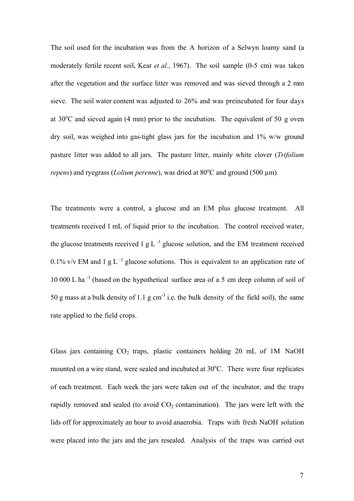The soil used for the incubation was from the A horizon of a Selwyn loamy sand (a moderately fertile recent soil, Kear *et al*., 1967). The soil sample (0-5 cm) was taken after the vegetation and the surface litter was removed and was sieved through a 2 mm sieve. The soil water content was adjusted to 26% and was preincubated for four days at 30°C and sieved again (4 mm) prior to the incubation. The equivalent of 50 g oven dry soil, was weighed into gas-tight glass jars for the incubation and 1% w/w ground pasture litter was added to all jars. The pasture litter, mainly white clover (*Trifolium repens*) and ryegrass (*Lolium perenne*), was dried at 80°C and ground (500 µm).

The treatments were a control, a glucose and an EM plus glucose treatment. All treatments received 1 mL of liquid prior to the incubation. The control received water, the glucose treatments received  $1 \text{ g L}^{-1}$  glucose solution, and the EM treatment received 0.1% v/v EM and 1 g L<sup>-1</sup> glucose solutions. This is equivalent to an application rate of 10 000 L ha *-*<sup>1</sup> (based on the hypothetical surface area of a 5 cm deep column of soil of 50 g mass at a bulk density of 1.1 g cm<sup>-3</sup> i.e. the bulk density of the field soil), the same rate applied to the field crops.

Glass jars containing  $CO<sub>2</sub>$  traps, plastic containers holding 20 mL of 1M NaOH mounted on a wire stand, were sealed and incubated at 30°C. There were four replicates of each treatment. Each week the jars were taken out of the incubator, and the traps rapidly removed and sealed (to avoid  $CO<sub>2</sub>$  contamination). The jars were left with the lids off for approximately an hour to avoid anaerobia. Traps with fresh NaOH solution were placed into the jars and the jars resealed. Analysis of the traps was carried out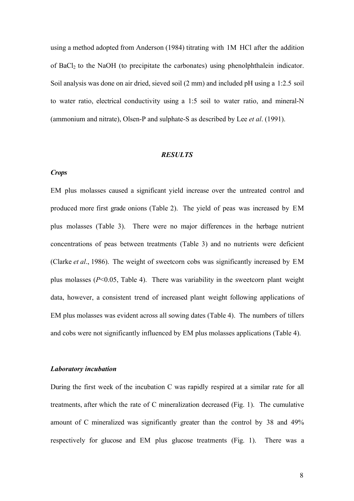using a method adopted from Anderson (1984) titrating with 1M HCl after the addition of BaCl<sub>2</sub> to the NaOH (to precipitate the carbonates) using phenolphthalein indicator. Soil analysis was done on air dried, sieved soil (2 mm) and included pH using a 1:2.5 soil to water ratio, electrical conductivity using a 1:5 soil to water ratio, and mineral-N (ammonium and nitrate), Olsen-P and sulphate-S as described by Lee *et al*. (1991).

#### *RESULTS*

## *Crops*

EM plus molasses caused a significant yield increase over the untreated control and produced more first grade onions (Table 2). The yield of peas was increased by EM plus molasses (Table 3). There were no major differences in the herbage nutrient concentrations of peas between treatments (Table 3) and no nutrients were deficient (Clarke *et al*., 1986). The weight of sweetcorn cobs was significantly increased by EM plus molasses  $(P<0.05$ , Table 4). There was variability in the sweetcorn plant weight data, however, a consistent trend of increased plant weight following applications of EM plus molasses was evident across all sowing dates (Table 4). The numbers of tillers and cobs were not significantly influenced by EM plus molasses applications (Table 4).

#### *Laboratory incubation*

During the first week of the incubation C was rapidly respired at a similar rate for all treatments, after which the rate of C mineralization decreased (Fig. 1). The cumulative amount of C mineralized was significantly greater than the control by 38 and 49% respectively for glucose and EM plus glucose treatments (Fig. 1). There was a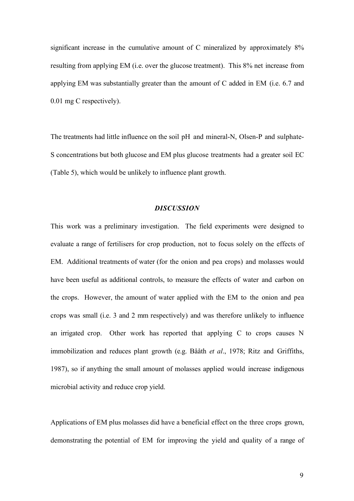significant increase in the cumulative amount of C mineralized by approximately  $8\%$ resulting from applying EM (i.e. over the glucose treatment). This 8% net increase from applying EM was substantially greater than the amount of C added in EM (i.e. 6.7 and 0.01 mg C respectively).

The treatments had little influence on the soil pH and mineral-N, Olsen-P and sulphate-S concentrations but both glucose and EM plus glucose treatments had a greater soil EC (Table 5), which would be unlikely to influence plant growth.

#### *DISCUSSION*

This work was a preliminary investigation. The field experiments were designed to evaluate a range of fertilisers for crop production, not to focus solely on the effects of EM. Additional treatments of water (for the onion and pea crops) and molasses would have been useful as additional controls, to measure the effects of water and carbon on the crops. However, the amount of water applied with the EM to the onion and pea crops was small (i.e. 3 and 2 mm respectively) and was therefore unlikely to influence an irrigated crop. Other work has reported that applying C to crops causes N immobilization and reduces plant growth (e.g. BÂÂth *et al*., 1978; Ritz and Griffiths, 1987), so if anything the small amount of molasses applied would increase indigenous microbial activity and reduce crop yield.

Applications of EM plus molasses did have a beneficial effect on the three crops grown, demonstrating the potential of EM for improving the yield and quality of a range of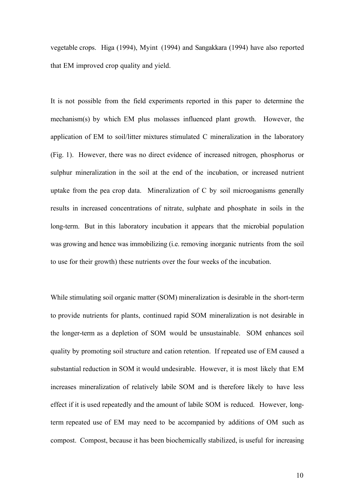vegetable crops. Higa (1994), Myint (1994) and Sangakkara (1994) have also reported that EM improved crop quality and yield.

It is not possible from the field experiments reported in this paper to determine the mechanism(s) by which EM plus molasses influenced plant growth. However, the application of EM to soil/litter mixtures stimulated C mineralization in the laboratory (Fig. 1). However, there was no direct evidence of increased nitrogen, phosphorus or sulphur mineralization in the soil at the end of the incubation, or increased nutrient uptake from the pea crop data. Mineralization of C by soil microoganisms generally results in increased concentrations of nitrate, sulphate and phosphate in soils in the long-term. But in this laboratory incubation it appears that the microbial population was growing and hence was immobilizing (i.e. removing inorganic nutrients from the soil to use for their growth) these nutrients over the four weeks of the incubation.

While stimulating soil organic matter (SOM) mineralization is desirable in the short-term to provide nutrients for plants, continued rapid SOM mineralization is not desirable in the longer-term as a depletion of SOM would be unsustainable. SOM enhances soil quality by promoting soil structure and cation retention. If repeated use of EM caused a substantial reduction in SOM it would undesirable. However, it is most likely that EM increases mineralization of relatively labile SOM and is therefore likely to have less effect if it is used repeatedly and the amount of labile SOM is reduced. However, longterm repeated use of EM may need to be accompanied by additions of OM such as compost. Compost, because it has been biochemically stabilized, is useful for increasing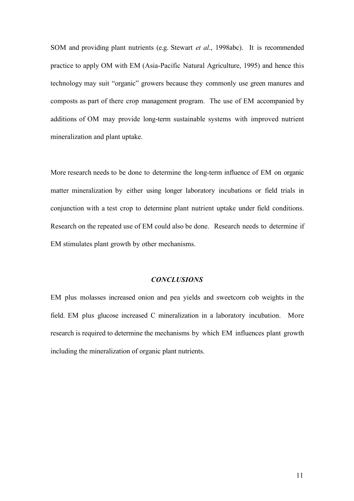SOM and providing plant nutrients (e.g. Stewart *et al*., 1998abc). It is recommended practice to apply OM with EM (Asia-Pacific Natural Agriculture, 1995) and hence this technology may suit "organic" growers because they commonly use green manures and composts as part of there crop management program. The use of EM accompanied by additions of OM may provide long-term sustainable systems with improved nutrient mineralization and plant uptake.

More research needs to be done to determine the long-term influence of EM on organic matter mineralization by either using longer laboratory incubations or field trials in conjunction with a test crop to determine plant nutrient uptake under field conditions. Research on the repeated use of EM could also be done. Research needs to determine if EM stimulates plant growth by other mechanisms.

#### *CONCLUSIONS*

EM plus molasses increased onion and pea yields and sweetcorn cob weights in the field. EM plus glucose increased C mineralization in a laboratory incubation. More research is required to determine the mechanisms by which EM influences plant growth including the mineralization of organic plant nutrients.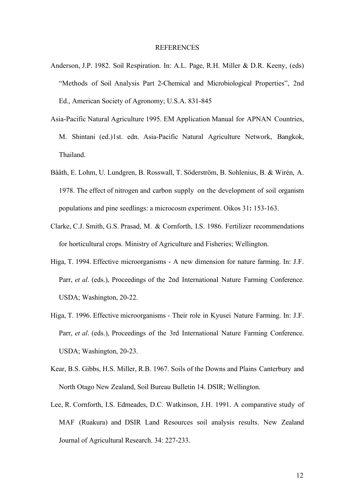#### REFERENCES

- Anderson, J.P. 1982. Soil Respiration. In: A.L. Page, R.H. Miller & D.R. Keeny, (eds) "Methods of Soil Analysis Part 2-Chemical and Microbiological Properties", 2nd Ed., American Society of Agronomy; U.S.A. 831-845
- Asia-Pacific Natural Agriculture 1995. EM Application Manual for APNAN Countries, M. Shintani (ed.)1st. edn. Asia-Pacific Natural Agriculture Network, Bangkok, Thailand.
- Bååth, E. Lohm, U. Lundgren, B. Rosswall, T. Söderström, B. Sohlenius, B. & Wirén, A. 1978. The effect of nitrogen and carbon supply on the development of soil organism populations and pine seedlings: a microcosm experiment. Oikos 31**:** 153-163.
- Clarke, C.J. Smith, G.S. Prasad, M. & Cornforth, I.S. 1986. Fertilizer recommendations for horticultural crops*.* Ministry of Agriculture and Fisheries; Wellington.
- Higa, T. 1994. Effective microorganisms A new dimension for nature farming. In: J.F. Parr, *et al*. (eds.), Proceedings of the 2nd International Nature Farming Conference. USDA; Washington, 20-22.
- Higa, T. 1996. Effective microorganisms Their role in Kyusei Nature Farming. In: J.F. Parr, *et al*. (eds.), Proceedings of the 3rd International Nature Farming Conference. USDA; Washington, 20-23.
- Kear, B.S. Gibbs, H.S. Miller, R.B. 1967. Soils of the Downs and Plains Canterbury and North Otago New Zealand, Soil Bureau Bulletin 14. DSIR; Wellington.
- Lee, R. Cornforth, I.S. Edmeades, D.C. Watkinson, J.H. 1991. A comparative study of MAF (Ruakura) and DSIR Land Resources soil analysis results. New Zealand Journal of Agricultural Research. 34: 227-233.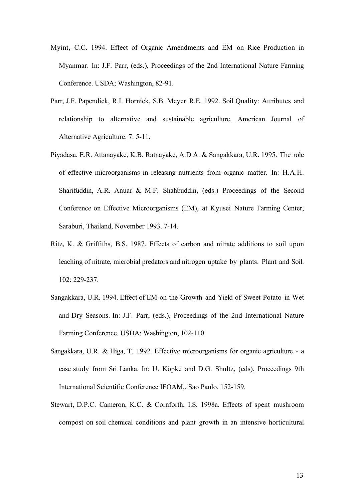- Myint, C.C. 1994. Effect of Organic Amendments and EM on Rice Production in Myanmar. In: J.F. Parr, (eds.), Proceedings of the 2nd International Nature Farming Conference. USDA; Washington, 82-91.
- Parr, J.F. Papendick, R.I. Hornick, S.B. Meyer R.E. 1992. Soil Quality: Attributes and relationship to alternative and sustainable agriculture. American Journal of Alternative Agriculture. 7: 5-11.
- Piyadasa, E.R. Attanayake, K.B. Ratnayake, A.D.A. & Sangakkara, U.R. 1995. The role of effective microorganisms in releasing nutrients from organic matter. In: H.A.H. Sharifuddin, A.R. Anuar & M.F. Shahbuddin, (eds.) Proceedings of the Second Conference on Effective Microorganisms (EM), at Kyusei Nature Farming Center, Saraburi, Thailand, November 1993. 7-14.
- Ritz, K. & Griffiths, B.S. 1987. Effects of carbon and nitrate additions to soil upon leaching of nitrate, microbial predators and nitrogen uptake by plants. Plant and Soil. 102: 229-237.
- Sangakkara, U.R. 1994. Effect of EM on the Growth and Yield of Sweet Potato in Wet and Dry Seasons. In: J.F. Parr, (eds.), Proceedings of the 2nd International Nature Farming Conference. USDA; Washington, 102-110.
- Sangakkara, U.R. & Higa, T. 1992. Effective microorganisms for organic agriculture a case study from Sri Lanka. In: U. Köpke and D.G. Shultz, (eds), Proceedings 9th International Scientific Conference IFOAM,. Sao Paulo. 152-159.
- Stewart, D.P.C. Cameron, K.C. & Cornforth, I.S. 1998a. Effects of spent mushroom compost on soil chemical conditions and plant growth in an intensive horticultural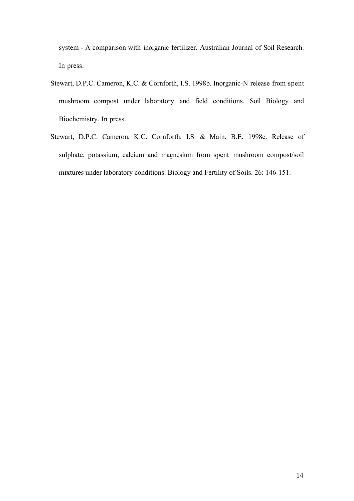system - A comparison with inorganic fertilizer. Australian Journal of Soil Research. In press.

- Stewart, D.P.C. Cameron, K.C. & Cornforth, I.S. 1998b. Inorganic-N release from spent mushroom compost under laboratory and field conditions. Soil Biology and Biochemistry. In press.
- Stewart, D.P.C. Cameron, K.C. Cornforth, I.S. & Main, B.E. 1998c. Release of sulphate, potassium, calcium and magnesium from spent mushroom compost/soil mixtures under laboratory conditions. Biology and Fertility of Soils. 26: 146-151.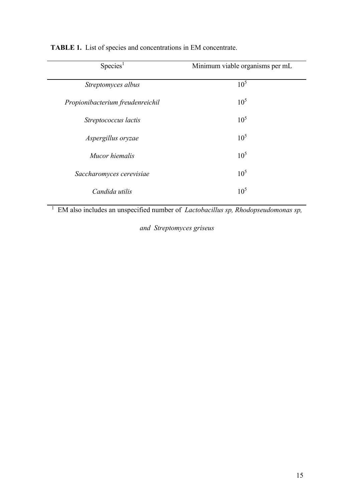| Species <sup>1</sup>             | Minimum viable organisms per mL |
|----------------------------------|---------------------------------|
| Streptomyces albus               | 10 <sup>5</sup>                 |
| Propionibacterium freudenreichil | 10 <sup>5</sup>                 |
| Streptococcus lactis             | 10 <sup>5</sup>                 |
| Aspergillus oryzae               | 10 <sup>5</sup>                 |
| Mucor hiemalis                   | 10 <sup>5</sup>                 |
| Saccharomyces cerevisiae         | 10 <sup>5</sup>                 |
| Candida utilis                   | 10 <sup>5</sup>                 |

**TABLE 1.** List of species and concentrations in EM concentrate.

<sup>1</sup> EM also includes an unspecified number of *Lactobacillus sp*, *Rhodopseudomonas sp*,

*and Streptomyces griseus*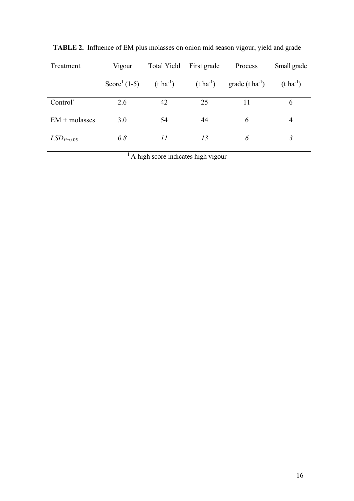| Treatment       | Vigour                   | <b>Total Yield</b> | First grade | Process                                           | Small grade           |
|-----------------|--------------------------|--------------------|-------------|---------------------------------------------------|-----------------------|
|                 | Score <sup>1</sup> (1-5) | $(t \, ha^{-1})$   |             | $(t \text{ ha}^{-1})$ grade $(t \text{ ha}^{-1})$ | $(t \text{ ha}^{-1})$ |
| Control         | 2.6                      | 42                 | 25          | 11                                                | 6                     |
| $EM + molasses$ | 3.0                      | 54                 | 44          | 6                                                 | 4                     |
| $LSD_{P=0.05}$  | 0.8                      | II                 | 13          | 6                                                 | 3                     |

**TABLE 2.** Influence of EM plus molasses on onion mid season vigour, yield and grade

<sup>1</sup> A high score indicates high vigour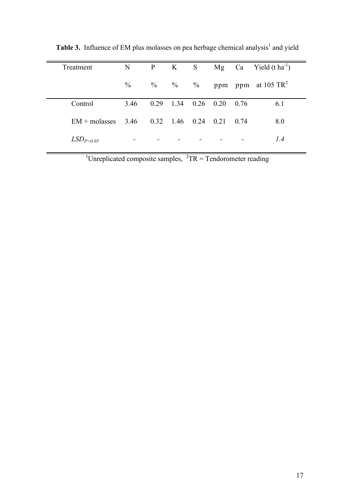| Treatment                                     | N    | $\mathbf{P}$ | K S       |                              | Mg Ca Yield $(t \text{ ha}^{-1})$   |
|-----------------------------------------------|------|--------------|-----------|------------------------------|-------------------------------------|
|                                               | $\%$ |              | $\%$ $\%$ |                              | $\%$ ppm ppm at 105 TR <sup>2</sup> |
| Control                                       | 3.46 |              |           | $0.29$ 1.34 $0.26$ 0.20 0.76 | 6.1                                 |
| $EM + molasses$ 3.46 0.32 1.46 0.24 0.21 0.74 |      |              |           |                              | 8.0                                 |
| $LSD_{P=0.05}$                                |      |              |           |                              | 1.4                                 |

Table 3. Influence of EM plus molasses on pea herbage chemical analysis<sup>1</sup> and yield

<sup>1</sup>Unreplicated composite samples,  ${}^{2}TR = T$ endorometer reading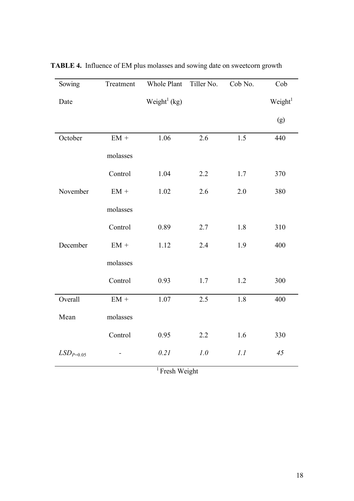| Sowing         | Treatment       | Whole Plant              | Tiller No. | Cob No. | Cob                 |
|----------------|-----------------|--------------------------|------------|---------|---------------------|
| Date           |                 | Weight <sup>1</sup> (kg) |            |         | Weight <sup>1</sup> |
|                |                 |                          |            |         | (g)                 |
| October        | $EM +$          | 1.06                     | 2.6        | 1.5     | 440                 |
|                | molasses        |                          |            |         |                     |
|                | Control         | 1.04                     | 2.2        | $1.7\,$ | 370                 |
| November       | $EM +$          | 1.02                     | 2.6        | 2.0     | 380                 |
|                | molasses        |                          |            |         |                     |
|                | Control         | 0.89                     | 2.7        | 1.8     | 310                 |
| December       | $\mathrm{EM}$ + | 1.12                     | 2.4        | 1.9     | 400                 |
|                | molasses        |                          |            |         |                     |
|                | Control         | 0.93                     | 1.7        | 1.2     | 300                 |
| Overall        | $\mathrm{EM}$ + | 1.07                     | 2.5        | 1.8     | 400                 |
| Mean           | molasses        |                          |            |         |                     |
|                | Control         | 0.95                     | 2.2        | 1.6     | 330                 |
| $LSD_{P=0.05}$ |                 | 0.21                     | 1.0        | 1.1     | 45                  |

**TABLE 4.** Influence of EM plus molasses and sowing date on sweetcorn growth

<sup>1</sup> Fresh Weight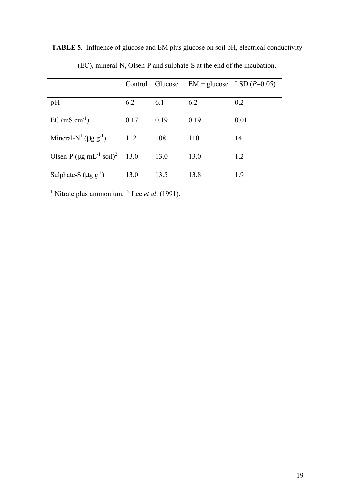|                                                       |      |      | Control Glucose $EM + glucose$ LSD ( $P=0.05$ ) |      |
|-------------------------------------------------------|------|------|-------------------------------------------------|------|
| pH                                                    | 6.2  | 6.1  | 6.2                                             | 0.2  |
| $EC$ (mS cm <sup>-1</sup> )                           | 0.17 | 0.19 | 0.19                                            | 0.01 |
| Mineral-N <sup>1</sup> ( $\mu$ g g <sup>-1</sup> )    | 112  | 108  | 110                                             | 14   |
| Olsen-P $(\mu g \text{ mL}^{-1} \text{ soil})^2$ 13.0 |      | 13.0 | 13.0                                            | 1.2  |
| Sulphate-S $(\mu g g^{-1})$                           | 13.0 | 13.5 | 13.8                                            | 1.9  |

**TABLE 5**. Influence of glucose and EM plus glucose on soil pH, electrical conductivity

<sup>1</sup> Nitrate plus ammonium, <sup>2</sup> Lee *et al.* (1991).

(EC), mineral-N, Olsen-P and sulphate-S at the end of the incubation.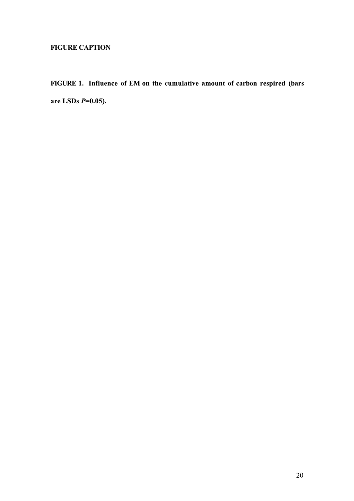# **FIGURE CAPTION**

**FIGURE 1. Influence of EM on the cumulative amount of carbon respired (bars are LSDs** *P***=0.05).**